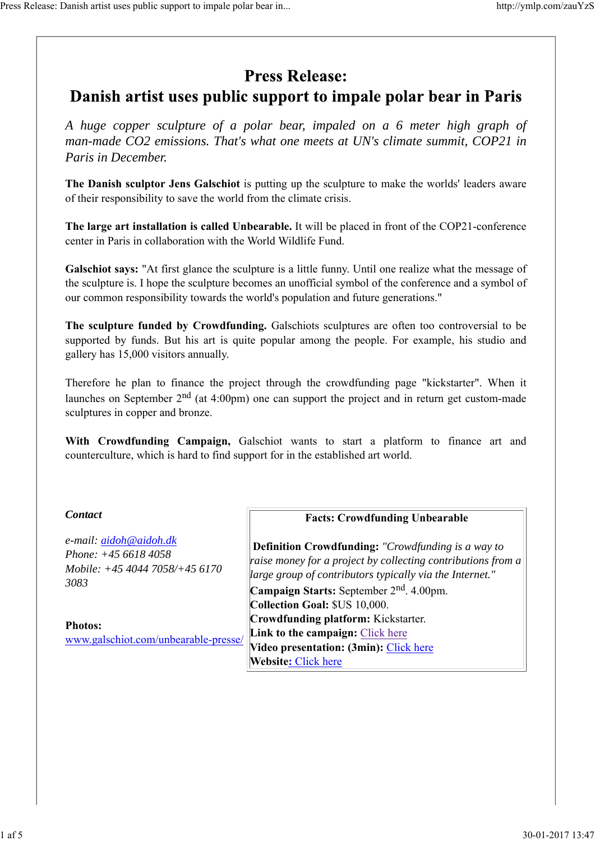# **Press Release:**

# Danish artist uses public support to impale polar bear in Paris

*A huge copper sculpture of a polar bear, impaled on a 6 meter high graph of man-made CO2 emissions. That's what one meets at UN's climate summit, COP21 in Paris in December.*

**The Danish sculptor Jens Galschiot** is putting up the sculpture to make the worlds' leaders aware of their responsibility to save the world from the climate crisis.

**The large art installation is called Unbearable.** It will be placed in front of the COP21-conference center in Paris in collaboration with the World Wildlife Fund.

**Galschiot says:** "At first glance the sculpture is a little funny. Until one realize what the message of the sculpture is. I hope the sculpture becomes an unofficial symbol of the conference and a symbol of our common responsibility towards the world's population and future generations."

**The sculpture funded by Crowdfunding.** Galschiots sculptures are often too controversial to be supported by funds. But his art is quite popular among the people. For example, his studio and gallery has 15,000 visitors annually.

Therefore he plan to finance the project through the crowdfunding page "kickstarter". When it launches on September  $2<sup>nd</sup>$  (at 4:00pm) one can support the project and in return get custom-made sculptures in copper and bronze.

**With Crowdfunding Campaign,** Galschiot wants to start a platform to finance art and counterculture, which is hard to find support for in the established art world.

# *Contact*

*e-mail: aidoh@aidoh.dk Phone: +45 6618 4058 Mobile: +45 4044 7058/+45 6170 3083* 

**Photos:** www.galschiot.com/unbearable-presse/

# **Facts: Crowdfunding Unbearable**

 **Definition Crowdfunding:** *"Crowdfunding is a way to raise money for a project by collecting contributions from a large group of contributors typically via the Internet."*

**Campaign Starts:** September 2nd. 4.00pm. **Collection Goal:** \$US 10,000. **Crowdfunding platform:** Kickstarter. **Link to the campaign:** Click here **Video presentation: (3min):** Click here **Website:** Click here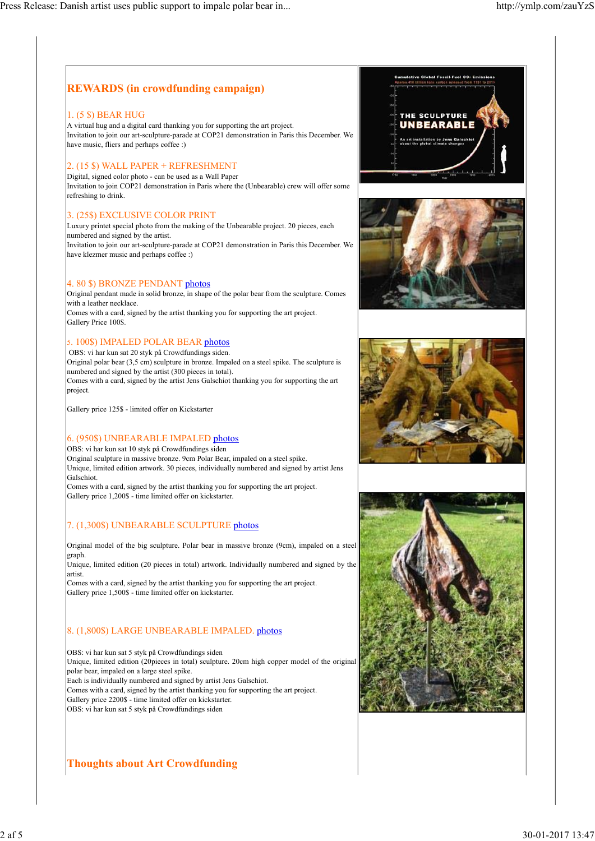# **REWARDS (in crowdfunding campaign)**

#### 1. (5 \$) BEAR HUG

A virtual hug and a digital card thanking you for supporting the art project. Invitation to join our art-sculpture-parade at COP21 demonstration in Paris this December. We have music, fliers and perhaps coffee :)

#### 2. (15 \$) WALL PAPER + REFRESHMENT

Digital, signed color photo - can be used as a Wall Paper Invitation to join COP21 demonstration in Paris where the (Unbearable) crew will offer some refreshing to drink.

#### 3. (25\$) EXCLUSIVE COLOR PRINT

Luxury printet special photo from the making of the Unbearable project. 20 pieces, each numbered and signed by the artist. Invitation to join our art-sculpture-parade at COP21 demonstration in Paris this December. We have klezmer music and perhaps coffee :)

#### 4. 80 \$) BRONZE PENDANT photos

Original pendant made in solid bronze, in shape of the polar bear from the sculpture. Comes with a leather necklace. Comes with a card, signed by the artist thanking you for supporting the art project. Gallery Price 100\$.

#### 5. 100\$) IMPALED POLAR BEAR photos

 OBS: vi har kun sat 20 styk på Crowdfundings siden. Original polar bear (3,5 cm) sculpture in bronze. Impaled on a steel spike. The sculpture is

numbered and signed by the artist (300 pieces in total). Comes with a card, signed by the artist Jens Galschiot thanking you for supporting the art project.

Gallery price 125\$ - limited offer on Kickstarter

#### 6. (950\$) UNBEARABLE IMPALED photos

OBS: vi har kun sat 10 styk på Crowdfundings siden Original sculpture in massive bronze. 9cm Polar Bear, impaled on a steel spike. Unique, limited edition artwork. 30 pieces, individually numbered and signed by artist Jens Galschiot. Comes with a card, signed by the artist thanking you for supporting the art project.

Gallery price 1,200\$ - time limited offer on kickstarter.

#### 7. (1,300\$) UNBEARABLE SCULPTURE photos

Original model of the big sculpture. Polar bear in massive bronze (9cm), impaled on a steel graph.

Unique, limited edition (20 pieces in total) artwork. Individually numbered and signed by the artist.

Comes with a card, signed by the artist thanking you for supporting the art project. Gallery price 1,500\$ - time limited offer on kickstarter.

#### 8. (1,800\$) LARGE UNBEARABLE IMPALED. photos

OBS: vi har kun sat 5 styk på Crowdfundings siden Unique, limited edition (20pieces in total) sculpture. 20cm high copper model of the original polar bear, impaled on a large steel spike. Each is individually numbered and signed by artist Jens Galschiot. Comes with a card, signed by the artist thanking you for supporting the art project. Gallery price 2200\$ - time limited offer on kickstarter. OBS: vi har kun sat 5 styk på Crowdfundings siden

### **Thoughts about Art Crowdfunding**







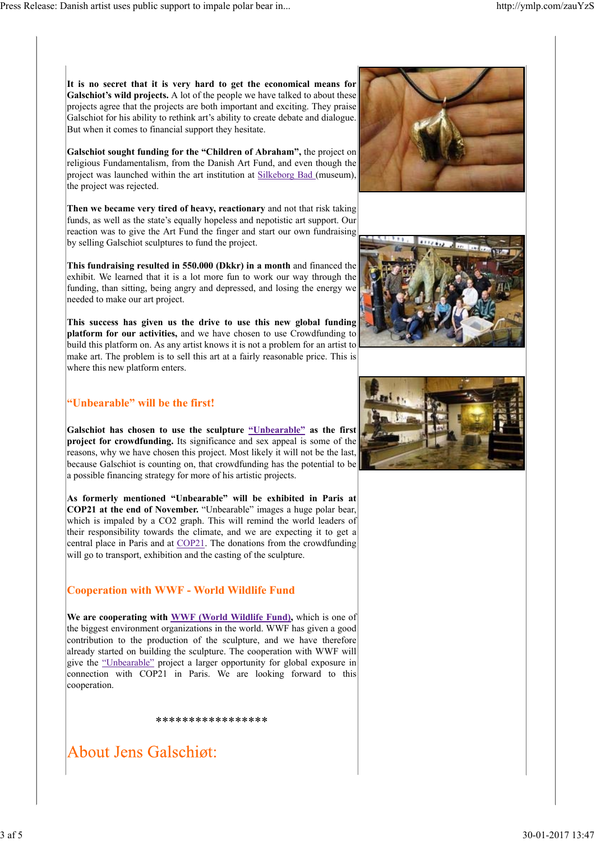**It is no secret that it is very hard to get the economical means for Galschiot's wild projects.** A lot of the people we have talked to about these projects agree that the projects are both important and exciting. They praise Galschiot for his ability to rethink art's ability to create debate and dialogue. But when it comes to financial support they hesitate.

**Galschiot sought funding for the "Children of Abraham",** the project on religious Fundamentalism, from the Danish Art Fund, and even though the project was launched within the art institution at Silkeborg Bad (museum), the project was rejected.

**Then we became very tired of heavy, reactionary** and not that risk taking funds, as well as the state's equally hopeless and nepotistic art support. Our reaction was to give the Art Fund the finger and start our own fundraising by selling Galschiot sculptures to fund the project.

**This fundraising resulted in 550.000 (Dkkr) in a month** and financed the exhibit. We learned that it is a lot more fun to work our way through the funding, than sitting, being angry and depressed, and losing the energy we needed to make our art project.

**This success has given us the drive to use this new global funding platform for our activities,** and we have chosen to use Crowdfunding to build this platform on. As any artist knows it is not a problem for an artist to make art. The problem is to sell this art at a fairly reasonable price. This is where this new platform enters.

## **"Unbearable" will be the first!**

**Galschiot has chosen to use the sculpture "Unbearable" as the first project for crowdfunding.** Its significance and sex appeal is some of the reasons, why we have chosen this project. Most likely it will not be the last, because Galschiot is counting on, that crowdfunding has the potential to be a possible financing strategy for more of his artistic projects.

**As formerly mentioned "Unbearable" will be exhibited in Paris at COP21 at the end of November.** "Unbearable" images a huge polar bear, which is impaled by a CO2 graph. This will remind the world leaders of their responsibility towards the climate, and we are expecting it to get a central place in Paris and at COP21. The donations from the crowdfunding will go to transport, exhibition and the casting of the sculpture.

# **Cooperation with WWF - World Wildlife Fund**

**We are cooperating with WWF (World Wildlife Fund),** which is one of the biggest environment organizations in the world. WWF has given a good contribution to the production of the sculpture, and we have therefore already started on building the sculpture. The cooperation with WWF will give the "Unbearable" project a larger opportunity for global exposure in connection with COP21 in Paris. We are looking forward to this cooperation.

\*\*\*\*\*\*\*\*\*\*\*\*\*\*\*\*\*

**About Jens Galschiøt:** 





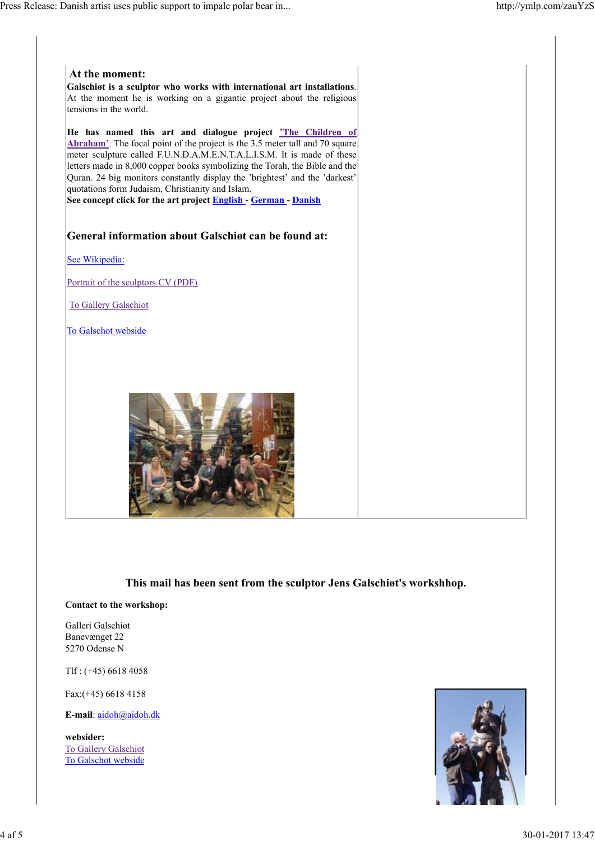

### **This mail has been sent from the sculptor Jens Galschiøt's workshhop.**

#### **Contact to the workshop:**

Galleri Galschiøt Banevænget 22 5270 Odense N

Tlf : (+45) 6618 4058

Fax:(+45) 6618 4158

**E-mail**: aidoh@aidoh.dk

**websider:** To Gallery Galschiot To Galschot webside